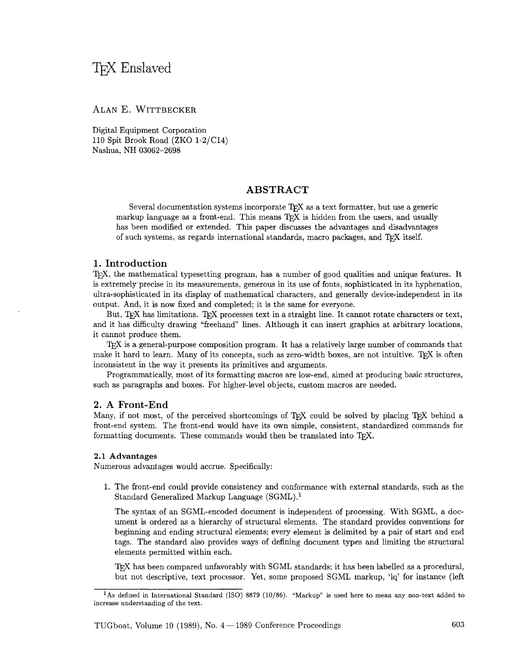# T<sub>F</sub>X Enslaved

## ALAN E. WITTBECKER

Digital Equipment Corporation 110 Spit Brook Road (ZKO 1-2/C14) Nashua, NH 03062-2698

## ABSTRACT

Several documentation systems incorporate  $T_F X$  as a text formatter, but use a generic markup language as a front-end. This means  $T<sub>F</sub>X$  is hidden from the users, and usually has been modified or extended. This paper discusses the advantages and disadvantages of such systems, as regards international standards, macro packages, and TFX itself.

## 1. Introduction

T<sub>E</sub>X, the mathematical typesetting program, has a number of good qualities and unique features. It is extremely'precise in its measurements, generous in its use of fonts, sophisticated in its hyphenation, ultra-sophisticated in its display of mathematical characters, and generally device-independent in its output. And, it is now fixed and completed; it is the same for everyone.

But, TEX has limitations. TEX processes text in a straight line. It cannot rotate characters or text, and it has difficulty drawing "freehand" lines. Although it can insert graphics at arbitrary locations, it cannot produce them.

T<sub>F</sub>X is a general-purpose composition program. It has a relatively large number of commands that make it hard to learn. Many of its concepts, such as zero-width boxes, are not intuitive. TFX is often inconsistent in the way it presents its primitives and arguments.

Programmatically, most of its formatting macros are low-end, aimed at producing basic structures, such as paragraphs and boxes. For higher-level objects, custom macros are needed.

#### 2. A Front-End

Many, if not most, of the perceived shortcomings of TEX could be solved by placing TEX behind a front-end system. The front-end would have its own simple, consistent, standardized commands for formatting documents. These commands would then be translated into  $T<sub>F</sub>X$ .

#### 2.1 **Advantages**

Numerous advantages would accrue. Specifically:

1. The front-end could provide consistency and conformance with external standards, such as the Standard Generalized Markup Language (SGML).'

The syntax of an SGML-encoded document is independent of processing. With SGML, a document is ordered as a hierarchy of structural elements. The standard provides conventions for beginning and ending structural elements; every element is delimited by a pair of start and end tags. The standard also provides ways of defining document types and limiting the structural elements permitted within each.

TEX has been compared unfavorably with SGML standards; it has been labelled as a procedural, but not descriptive, text processor. Yet, some proposed SGML markup, 'lq' for instance (left

<sup>&</sup>lt;sup>1</sup>As defined in International Standard (ISO) 8879 (10/86). "Markup" is used here to mean any non-text added to increase understanding of the text.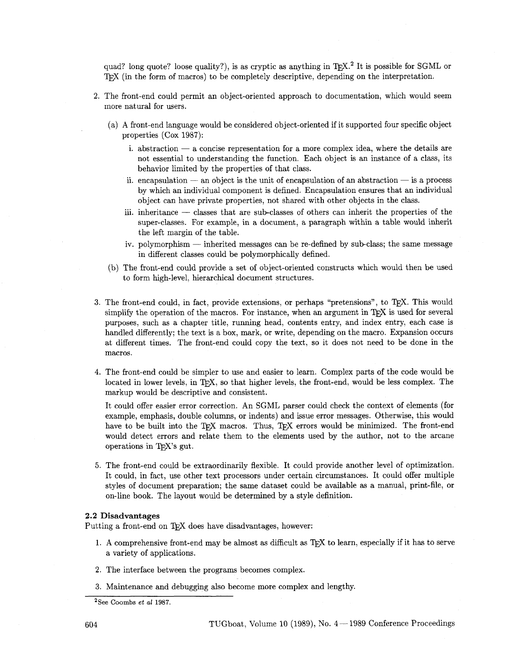quad? long quote? loose quality?), is as cryptic as anything in  $T_{\rm F}X$ .<sup>2</sup> It is possible for SGML or TEX (in the form of macros) to be completely descriptive, depending on the interpretation.

- 2. The front-end could permit an object-oriented approach to documentation, which would seem more natural for users.
	- (a) A front-end language would be considered object-oriented if it supported four specific object properties (Cox 1987):
		- i. abstraction  $-$  a concise representation for a more complex idea, where the details are not essential to understanding the function. Each object is an instance of a class, its behavior limited by the properties of that class.
		- ii. encapsulation  $-$  an object is the unit of encapsulation of an abstraction  $-$  is a process by which an individual component is defined. Encapsulation ensures that an individual object can have private properties, not shared with other objects in the class.
		- iii. inheritance  $-$  classes that are sub-classes of others can inherit the properties of the super-classes. For example, in a document, a paragraph within a table would inherit the left margin of the table.
		- iv. polymorphism inherited messages can be re-defined by sub-class; the same message in different classes could be polymorphically defined.
	- (b) The front-end could provide a set of object-oriented constructs which would then be used to form high-level, hierarchical document structures.
- 3. The front-end could, in fact, provide extensions, or perhaps "pretensions", to T<sub>E</sub>X. This would simplify the operation of the macros. For instance, when an argument in  $Tr X$  is used for several purposes, such as a chapter title, running head, contents entry, and index entry, each case is handled differently; the text is a box, mark, or write, depending on the macro. Expansion occurs at different times. The front-end could copy the text, so it does not need to be done in the macros.
- 4. The front-end could be simpler to use and easier to learn. Complex parts of the code would be located in lower levels, in T<sub>F</sub>X, so that higher levels, the front-end, would be less complex. The markup would be descriptive and consistent.

It could offer easier error correction. An SGML parser could check the context of elements (for example, emphasis, double columns, or indents) and issue error messages. Otherwise, this would have to be built into the T<sub>F</sub>X macros. Thus, T<sub>F</sub>X errors would be minimized. The front-end would detect errors and relate them to the elements used by the author, not to the arcane operations in T<sub>F</sub>X's gut.

**5.** The front-end could be extraordinarily flexible. It could provide another level of optimization. It could, in fact, use other text processors under certain circumstances. It could offer multiple styles of document preparation; the same dataset could be available as a manual, print-file, or on-line book. The layout would be determined by a style definition.

#### **2.2 Disadvantages**

Putting a front-end on TFX does have disadvantages, however:

- 1. A comprehensive front-end may be almost as difficult as TEX to learn, especially if it has to serve a variety of applications.
- **2.** The interface between the programs becomes complex.
- **3.** Maintenance and debugging also become more complex and lengthy.

<sup>&</sup>lt;sup>2</sup>See Coombs *et al* 1987.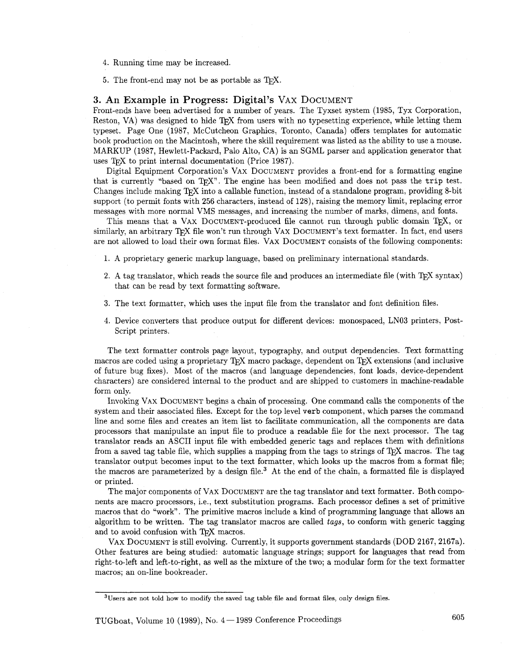- 4. Running time may be increased.
- 5. The front-end may not be as portable as  $T_F X$ .

## 3. An Example in Progress: Digital's VAX DOCUMENT

Front-ends have been advertised for a number of years. The Tyxset system (1985, Tyx Corporation, Reston, VA) was designed to hide  $T_F X$  from users with no typesetting experience, while letting them typeset. Page One (1987, McCutcheon Graphics, Toronto, Canada) offers templates for automatic book production on the Macintosh, where the skill requirement was listed as the ability to use a mouse. MARKUP (1987, Hewlett-Packard, Palo Alto, CA) is an SGML parser and application generator that uses T<sub>F</sub>X to print internal documentation (Price 1987).

Digital Equipment Corporation's VAX DOCUMENT provides a front-end for a formatting engine that is currently "based on  $T_F X$ ". The engine has been modified and does not pass the trip test. Changes include making T<sub>F</sub>X into a callable function, instead of a standalone program, providing 8-bit support (to permit fonts with 256 characters, instead of 128), raising the memory limit, replacing error messages with more normal VMS messages, and increasing the number of marks, dimens, and fonts.

This means that a VAX DOCUMENT-produced file cannot run through public domain T<sub>F</sub>X, or similarly, an arbitrary TFX file won't run through VAX DOCUMENT's text formatter. In fact, end users are not allowed to load their own format files. VAX DOCUMENT consists of the following components:

- 1. A proprietary generic markup language, based on preliminary international standards.
- 2. A tag translator, which reads the source file and produces an intermediate file (with  $T_{\rm F}X$  syntax) that can be read by text formatting software.
- 3. The text formatter, which uses the input file from the translator and font definition files.
- 4. Device converters that produce output for different devices: monospaced, LN03 printers, Post-Script printers.

The text formatter controls page layout, typography, and output dependencies. Text formatting macros are coded using a proprietary  $T_F X$  macro package, dependent on  $T_F X$  extensions (and inclusive of future bug fixes). Most of the macros (and language dependencies, font loads, device-dependent characters) are considered internal to the product and are shipped to customers in machine-readable form only.

Invoking VAX DOCUMENT begins a chain of processing. One command calls the components of the system and their associated files. Except for the top level verb component, which parses the command line and some files and creates an item list to facilitate communication, all the components are data processors that manipulate an input file to produce a readable file for the next processor. The tag translator reads an ASCII input file with embedded generic tags and replaces them with definitions from a saved tag table file, which supplies a mapping from the tags to strings of T<sub>F</sub>X macros. The tag translator output becomes input to the text formatter, which looks up the macros from a format file; the macros are parameterized by a design file.3 At the end of the chain, a formatted file is displayed or printed.

The major components of VAX DOCUMENT are the tag translator and text formatter. Both components are macro processors, i.e., text substitution programs. Each processor defines a set of primitive macros that do "work". The primitive macros include a kind of programming language that allows an algorithm to be written. The tag translator macros are called tags, to conform with generic tagging and to avoid confusion with T<sub>F</sub>X macros.

VAX DOCUMENT is still evolving. Currently, it supports government standards (DOD 2167, 2167a). Other features are being studied: automatic language strings; support for languages that read from right-to-left and left-to-right, as well as the mixture of the two; a modular form for the text formatter macros; an on-line bookreader.

<sup>3</sup>Users are not told how to modify the saved tag table file and format files, only design files.